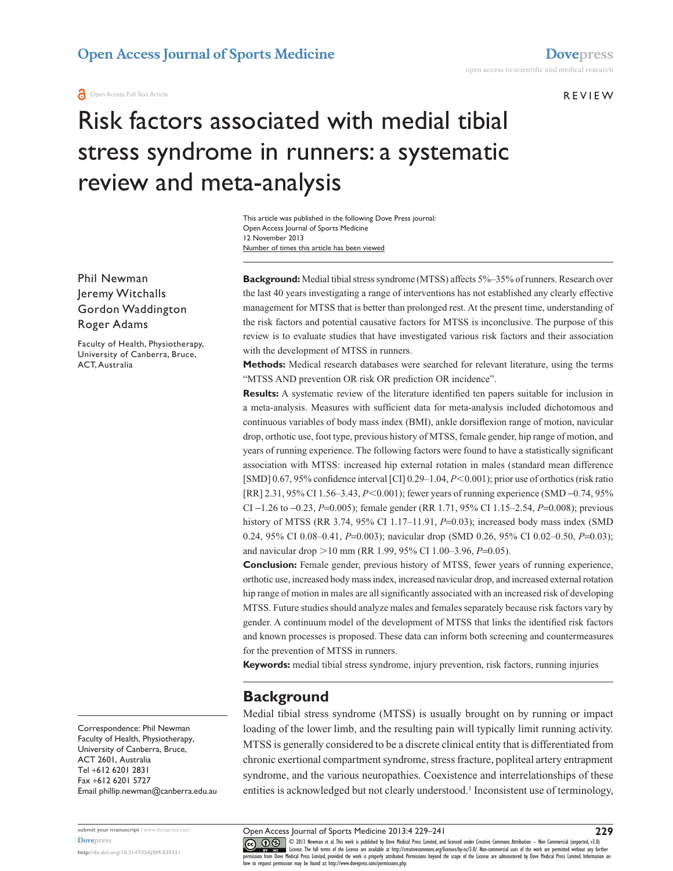**a** Open Access Full Text Article

Review

# Risk factors associated with medial tibial stress syndrome in runners: a systematic review and meta-analysis

Number of times this article has been viewed This article was published in the following Dove Press journal: Open Access Journal of Sports Medicine 12 November 2013

Phil Newman Jeremy Witchalls Gordon Waddington Roger Adams

Faculty of Health, Physiotherapy, University of Canberra, Bruce, ACT, Australia

Correspondence: Phil Newman Faculty of Health, Physiotherapy, University of Canberra, Bruce, ACT 2601, Australia Tel +612 6201 2831 Fax +612 6201 5727 Email [phillip.newman@canberra.edu.au](mailto:phillip.newman@canberra.edu.au)

**submit your manuscript** | <www.dovepress.com> **[Dovepress](www.dovepress.com) <http://dx.doi.org/10.2147/OAJSM.S39331>**

**Background:** Medial tibial stress syndrome (MTSS) affects 5%–35% of runners. Research over the last 40 years investigating a range of interventions has not established any clearly effective management for MTSS that is better than prolonged rest. At the present time, understanding of the risk factors and potential causative factors for MTSS is inconclusive. The purpose of this review is to evaluate studies that have investigated various risk factors and their association with the development of MTSS in runners.

**Methods:** Medical research databases were searched for relevant literature, using the terms "MTSS AND prevention OR risk OR prediction OR incidence".

**Results:** A systematic review of the literature identified ten papers suitable for inclusion in a meta-analysis. Measures with sufficient data for meta-analysis included dichotomous and continuous variables of body mass index (BMI), ankle dorsiflexion range of motion, navicular drop, orthotic use, foot type, previous history of MTSS, female gender, hip range of motion, and years of running experience. The following factors were found to have a statistically significant association with MTSS: increased hip external rotation in males (standard mean difference [SMD]  $0.67, 95\%$  confidence interval [CI]  $0.29-1.04$ ,  $P<0.001$ ); prior use of orthotics (risk ratio [RR] 2.31, 95% CI 1.56–3.43, *P*,0.001); fewer years of running experience (SMD −0.74, 95% CI −1.26 to −0.23, *P*=0.005); female gender (RR 1.71, 95% CI 1.15–2.54, *P*=0.008); previous history of MTSS (RR 3.74, 95% CI 1.17–11.91, *P*=0.03); increased body mass index (SMD 0.24, 95% CI 0.08–0.41, *P*=0.003); navicular drop (SMD 0.26, 95% CI 0.02–0.50, *P*=0.03); and navicular drop > 10 mm (RR 1.99, 95% CI 1.00–3.96, *P*=0.05).

**Conclusion:** Female gender, previous history of MTSS, fewer years of running experience, orthotic use, increased body mass index, increased navicular drop, and increased external rotation hip range of motion in males are all significantly associated with an increased risk of developing MTSS. Future studies should analyze males and females separately because risk factors vary by gender. A continuum model of the development of MTSS that links the identified risk factors and known processes is proposed. These data can inform both screening and countermeasures for the prevention of MTSS in runners.

**Keywords:** medial tibial stress syndrome, injury prevention, risk factors, running injuries

## **Background**

Medial tibial stress syndrome (MTSS) is usually brought on by running or impact loading of the lower limb, and the resulting pain will typically limit running activity. MTSS is generally considered to be a discrete clinical entity that is differentiated from chronic exertional compartment syndrome, stress fracture, popliteal artery entrapment syndrome, and the various neuropathies. Coexistence and interrelationships of these entities is acknowledged but not clearly understood.<sup>1</sup> Inconsistent use of terminology,

CO ODI3 Newman et al. This work is published by Dove Medical Press Limited, and licensed under Creative Commons Attribution - Non Commercial (unported, v3.0)<br> [permission from Dove M](http://www.dovepress.com/permissions.php)edical Press Limited, provided the work i how to request permission may be found at:<http://www.dovepress.com/permissions.php>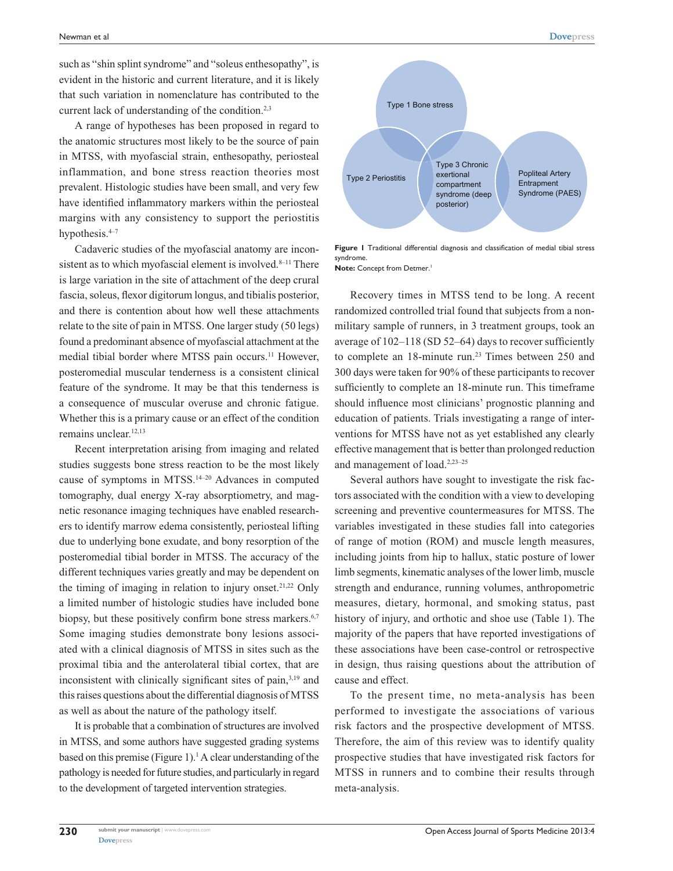such as "shin splint syndrome" and "soleus enthesopathy", is evident in the historic and current literature, and it is likely that such variation in nomenclature has contributed to the current lack of understanding of the condition.<sup>2,3</sup>

A range of hypotheses has been proposed in regard to the anatomic structures most likely to be the source of pain in MTSS, with myofascial strain, enthesopathy, periosteal inflammation, and bone stress reaction theories most prevalent. Histologic studies have been small, and very few have identified inflammatory markers within the periosteal margins with any consistency to support the periostitis hypothesis.4–7

Cadaveric studies of the myofascial anatomy are inconsistent as to which myofascial element is involved.<sup>8-11</sup> There is large variation in the site of attachment of the deep crural fascia, soleus, flexor digitorum longus, and tibialis posterior, and there is contention about how well these attachments relate to the site of pain in MTSS. One larger study (50 legs) found a predominant absence of myofascial attachment at the medial tibial border where MTSS pain occurs.<sup>11</sup> However, posteromedial muscular tenderness is a consistent clinical feature of the syndrome. It may be that this tenderness is a consequence of muscular overuse and chronic fatigue. Whether this is a primary cause or an effect of the condition remains unclear.12,13

Recent interpretation arising from imaging and related studies suggests bone stress reaction to be the most likely cause of symptoms in MTSS.14–20 Advances in computed tomography, dual energy X-ray absorptiometry, and magnetic resonance imaging techniques have enabled researchers to identify marrow edema consistently, periosteal lifting due to underlying bone exudate, and bony resorption of the posteromedial tibial border in MTSS. The accuracy of the different techniques varies greatly and may be dependent on the timing of imaging in relation to injury onset.<sup>21,22</sup> Only a limited number of histologic studies have included bone biopsy, but these positively confirm bone stress markers.<sup>6,7</sup> Some imaging studies demonstrate bony lesions associated with a clinical diagnosis of MTSS in sites such as the proximal tibia and the anterolateral tibial cortex, that are inconsistent with clinically significant sites of pain,<sup>3,19</sup> and this raises questions about the differential diagnosis of MTSS as well as about the nature of the pathology itself.

It is probable that a combination of structures are involved in MTSS, and some authors have suggested grading systems based on this premise (Figure  $1$ ).<sup>1</sup> A clear understanding of the pathology is needed for future studies, and particularly in regard to the development of targeted intervention strategies.



**Figure 1** Traditional differential diagnosis and classification of medial tibial stress syndrome. **Note:** Concept from Detmer.<sup>1</sup>

Recovery times in MTSS tend to be long. A recent randomized controlled trial found that subjects from a nonmilitary sample of runners, in 3 treatment groups, took an average of 102–118 (SD 52–64) days to recover sufficiently to complete an 18-minute run.<sup>23</sup> Times between 250 and 300 days were taken for 90% of these participants to recover sufficiently to complete an 18-minute run. This timeframe should influence most clinicians' prognostic planning and education of patients. Trials investigating a range of interventions for MTSS have not as yet established any clearly effective management that is better than prolonged reduction and management of load.<sup>2,23-25</sup>

Several authors have sought to investigate the risk factors associated with the condition with a view to developing screening and preventive countermeasures for MTSS. The variables investigated in these studies fall into categories of range of motion (ROM) and muscle length measures, including joints from hip to hallux, static posture of lower limb segments, kinematic analyses of the lower limb, muscle strength and endurance, running volumes, anthropometric measures, dietary, hormonal, and smoking status, past history of injury, and orthotic and shoe use (Table 1). The majority of the papers that have reported investigations of these associations have been case-control or retrospective in design, thus raising questions about the attribution of cause and effect.

To the present time, no meta-analysis has been performed to investigate the associations of various risk factors and the prospective development of MTSS. Therefore, the aim of this review was to identify quality prospective studies that have investigated risk factors for MTSS in runners and to combine their results through meta-analysis.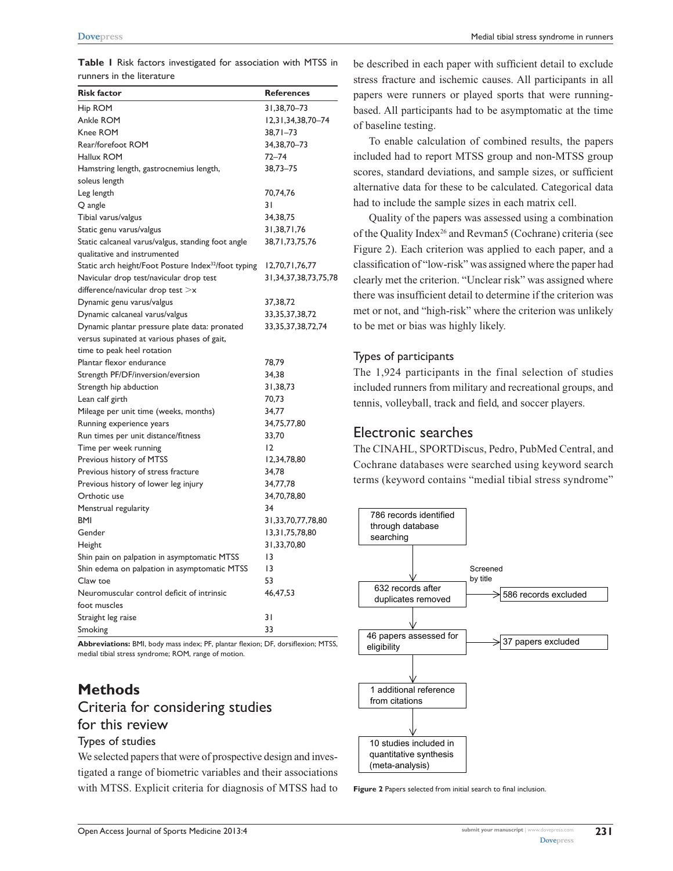|                           |  | <b>Table I</b> Risk factors investigated for association with MTSS in |  |  |  |
|---------------------------|--|-----------------------------------------------------------------------|--|--|--|
| runners in the literature |  |                                                                       |  |  |  |

| <b>Risk factor</b>                                               | <b>References</b>          |
|------------------------------------------------------------------|----------------------------|
| <b>Hip ROM</b>                                                   | 31,38,70-73                |
| Ankle ROM                                                        | 12,31,34,38,70–74          |
| Knee ROM                                                         | $38,71 - 73$               |
| Rear/forefoot ROM                                                | 34,38,70-73                |
| <b>Hallux ROM</b>                                                | $72 - 74$                  |
| Hamstring length, gastrocnemius length,                          | 38,73-75                   |
| soleus length                                                    |                            |
| Leg length                                                       | 70,74,76                   |
| Q angle                                                          | 31                         |
| Tibial varus/valgus                                              | 34, 38, 75                 |
| Static genu varus/valgus                                         | 31, 38, 71, 76             |
| Static calcaneal varus/valgus, standing foot angle               | 38,71,73,75,76             |
| qualitative and instrumented                                     |                            |
| Static arch height/Foot Posture Index <sup>32</sup> /foot typing | 12,70,71,76,77             |
| Navicular drop test/navicular drop test                          | 31, 34, 37, 38, 73, 75, 78 |
| difference/navicular drop test $>$ x                             |                            |
| Dynamic genu varus/valgus                                        | 37,38,72                   |
| Dynamic calcaneal varus/valgus                                   | 33, 35, 37, 38, 72         |
| Dynamic plantar pressure plate data: pronated                    | 33, 35, 37, 38, 72, 74     |
| versus supinated at various phases of gait,                      |                            |
| time to peak heel rotation                                       |                            |
| Plantar flexor endurance                                         | 78,79                      |
| Strength PF/DF/inversion/eversion                                | 34,38                      |
| Strength hip abduction                                           | 31,38,73                   |
| Lean calf girth                                                  | 70,73                      |
| Mileage per unit time (weeks, months)                            | 34,77                      |
| Running experience years                                         | 34,75,77,80                |
| Run times per unit distance/fitness                              | 33,70                      |
| Time per week running                                            | 12                         |
| Previous history of MTSS                                         | 12,34,78,80                |
| Previous history of stress fracture                              | 34,78                      |
| Previous history of lower leg injury                             | 34,77,78                   |
| Orthotic use                                                     | 34,70,78,80                |
| Menstrual regularity                                             | 34                         |
| BMI                                                              | 31, 33, 70, 77, 78, 80     |
| Gender                                                           | 13, 31, 75, 78, 80         |
| Height                                                           | 31,33,70,80                |
| Shin pain on palpation in asymptomatic MTSS                      | 13                         |
| Shin edema on palpation in asymptomatic MTSS                     | 3                          |
| Claw toe                                                         | 53                         |
| Neuromuscular control deficit of intrinsic                       | 46, 47, 53                 |
| foot muscles                                                     |                            |
| Straight leg raise                                               | 31                         |
| Smoking                                                          | 33                         |

**Abbreviations:** BMI, body mass index; PF, plantar flexion; DF, dorsiflexion; MTSS, medial tibial stress syndrome; ROM, range of motion.

# **Methods**

# Criteria for considering studies for this review

#### Types of studies

We selected papers that were of prospective design and investigated a range of biometric variables and their associations with MTSS. Explicit criteria for diagnosis of MTSS had to be described in each paper with sufficient detail to exclude stress fracture and ischemic causes. All participants in all papers were runners or played sports that were runningbased. All participants had to be asymptomatic at the time of baseline testing.

To enable calculation of combined results, the papers included had to report MTSS group and non-MTSS group scores, standard deviations, and sample sizes, or sufficient alternative data for these to be calculated. Categorical data had to include the sample sizes in each matrix cell.

Quality of the papers was assessed using a combination of the Quality Index26 and Revman5 (Cochrane) criteria (see Figure 2). Each criterion was applied to each paper, and a classification of "low-risk" was assigned where the paper had clearly met the criterion. "Unclear risk" was assigned where there was insufficient detail to determine if the criterion was met or not, and "high-risk" where the criterion was unlikely to be met or bias was highly likely.

### Types of participants

The 1,924 participants in the final selection of studies included runners from military and recreational groups, and tennis, volleyball, track and field, and soccer players.

### Electronic searches

The CINAHL, SPORTDiscus, Pedro, PubMed Central, and Cochrane databases were searched using keyword search terms (keyword contains "medial tibial stress syndrome"



**Figure 2** Papers selected from initial search to final inclusion.

**231**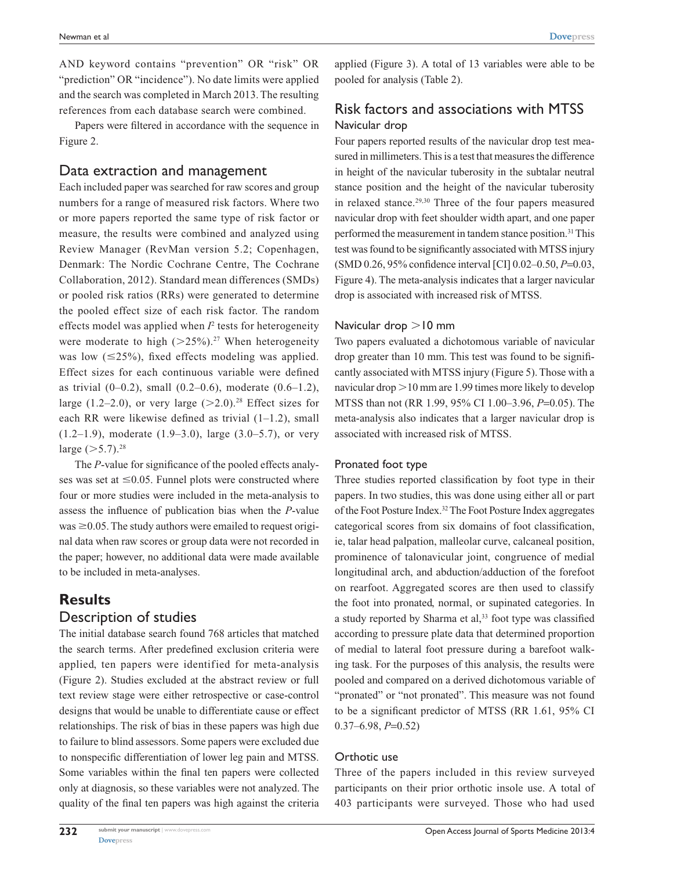AND keyword contains "prevention" OR "risk" OR "prediction" OR "incidence"). No date limits were applied and the search was completed in March 2013. The resulting references from each database search were combined.

Papers were filtered in accordance with the sequence in Figure 2.

### Data extraction and management

Each included paper was searched for raw scores and group numbers for a range of measured risk factors. Where two or more papers reported the same type of risk factor or measure, the results were combined and analyzed using Review Manager (RevMan version 5.2; Copenhagen, Denmark: The Nordic Cochrane Centre, The Cochrane Collaboration, 2012). Standard mean differences (SMDs) or pooled risk ratios (RRs) were generated to determine the pooled effect size of each risk factor. The random effects model was applied when  $I<sup>2</sup>$  tests for heterogeneity were moderate to high  $(>25\%)$ .<sup>27</sup> When heterogeneity was low  $(\leq 25\%)$ , fixed effects modeling was applied. Effect sizes for each continuous variable were defined as trivial  $(0-0.2)$ , small  $(0.2-0.6)$ , moderate  $(0.6-1.2)$ , large (1.2–2.0), or very large ( $>2.0$ ).<sup>28</sup> Effect sizes for each RR were likewise defined as trivial (1–1.2), small  $(1.2-1.9)$ , moderate  $(1.9-3.0)$ , large  $(3.0-5.7)$ , or very large  $($ >5.7).<sup>28</sup>

The *P*-value for significance of the pooled effects analyses was set at  $\leq 0.05$ . Funnel plots were constructed where four or more studies were included in the meta-analysis to assess the influence of publication bias when the *P*-value was  $\geq$  0.05. The study authors were emailed to request original data when raw scores or group data were not recorded in the paper; however, no additional data were made available to be included in meta-analyses.

### **Results** Description of studies

The initial database search found 768 articles that matched the search terms. After predefined exclusion criteria were applied, ten papers were identified for meta-analysis (Figure 2). Studies excluded at the abstract review or full text review stage were either retrospective or case-control designs that would be unable to differentiate cause or effect relationships. The risk of bias in these papers was high due to failure to blind assessors. Some papers were excluded due to nonspecific differentiation of lower leg pain and MTSS. Some variables within the final ten papers were collected only at diagnosis, so these variables were not analyzed. The quality of the final ten papers was high against the criteria

applied (Figure 3). A total of 13 variables were able to be pooled for analysis (Table 2).

### Risk factors and associations with MTSS Navicular drop

Four papers reported results of the navicular drop test measured in millimeters. This is a test that measures the difference in height of the navicular tuberosity in the subtalar neutral stance position and the height of the navicular tuberosity in relaxed stance.<sup>29,30</sup> Three of the four papers measured navicular drop with feet shoulder width apart, and one paper performed the measurement in tandem stance position.31 This test was found to be significantly associated with MTSS injury (SMD 0.26, 95% confidence interval [CI] 0.02–0.50, *P*=0.03, Figure 4). The meta-analysis indicates that a larger navicular drop is associated with increased risk of MTSS.

#### Navicular drop  $>10$  mm

Two papers evaluated a dichotomous variable of navicular drop greater than 10 mm. This test was found to be significantly associated with MTSS injury (Figure 5). Those with a navicular drop  $>10$  mm are 1.99 times more likely to develop MTSS than not (RR 1.99, 95% CI 1.00–3.96, *P*=0.05). The meta-analysis also indicates that a larger navicular drop is associated with increased risk of MTSS.

#### Pronated foot type

Three studies reported classification by foot type in their papers. In two studies, this was done using either all or part of the Foot Posture Index.32 The Foot Posture Index aggregates categorical scores from six domains of foot classification, ie, talar head palpation, malleolar curve, calcaneal position, prominence of talonavicular joint, congruence of medial longitudinal arch, and abduction/adduction of the forefoot on rearfoot. Aggregated scores are then used to classify the foot into pronated, normal, or supinated categories. In a study reported by Sharma et al,<sup>33</sup> foot type was classified according to pressure plate data that determined proportion of medial to lateral foot pressure during a barefoot walking task. For the purposes of this analysis, the results were pooled and compared on a derived dichotomous variable of "pronated" or "not pronated". This measure was not found to be a significant predictor of MTSS (RR 1.61, 95% CI 0.37–6.98, *P*=0.52)

#### Orthotic use

Three of the papers included in this review surveyed participants on their prior orthotic insole use. A total of 403 participants were surveyed. Those who had used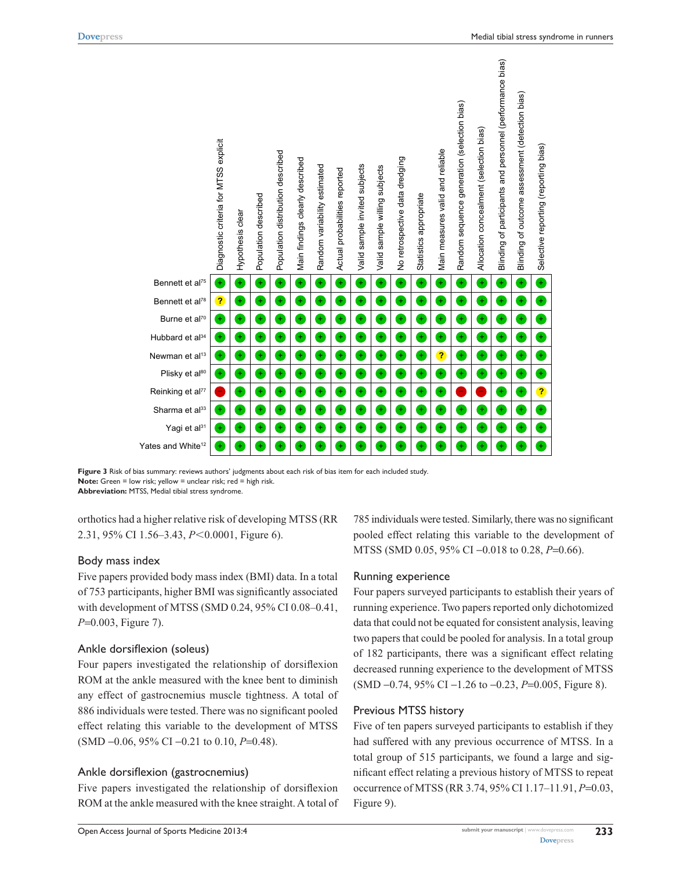

**[Dovepress](www.dovepress.com)**

**Figure 3** Risk of bias summary: reviews authors' judgments about each risk of bias item for each included study. **Note:** Green = low risk; yellow = unclear risk; red = high risk. **Abbreviation:** MTSS, Medial tibial stress syndrome.

orthotics had a higher relative risk of developing MTSS (RR 2.31, 95% CI 1.56–3.43, *P*<0.0001, Figure 6).

### Body mass index

Five papers provided body mass index (BMI) data. In a total of 753 participants, higher BMI was significantly associated with development of MTSS (SMD 0.24, 95% CI 0.08–0.41, *P*=0.003, Figure 7).

### Ankle dorsiflexion (soleus)

Four papers investigated the relationship of dorsiflexion ROM at the ankle measured with the knee bent to diminish any effect of gastrocnemius muscle tightness. A total of 886 individuals were tested. There was no significant pooled effect relating this variable to the development of MTSS (SMD -0.06, 95% CI −0.21 to 0.10, *P*=0.48).

### Ankle dorsiflexion (gastrocnemius)

Five papers investigated the relationship of dorsiflexion ROM at the ankle measured with the knee straight. A total of 785 individuals were tested. Similarly, there was no significant pooled effect relating this variable to the development of MTSS (SMD 0.05, 95% CI −0.018 to 0.28, *P*=0.66).

### Running experience

Four papers surveyed participants to establish their years of running experience. Two papers reported only dichotomized data that could not be equated for consistent analysis, leaving two papers that could be pooled for analysis. In a total group of 182 participants, there was a significant effect relating decreased running experience to the development of MTSS (SMD −0.74, 95% CI −1.26 to −0.23, *P*=0.005, Figure 8).

### Previous MTSS history

Five of ten papers surveyed participants to establish if they had suffered with any previous occurrence of MTSS. In a total group of 515 participants, we found a large and significant effect relating a previous history of MTSS to repeat occurrence of MTSS (RR 3.74, 95% CI 1.17–11.91, *P*=0.03, Figure 9).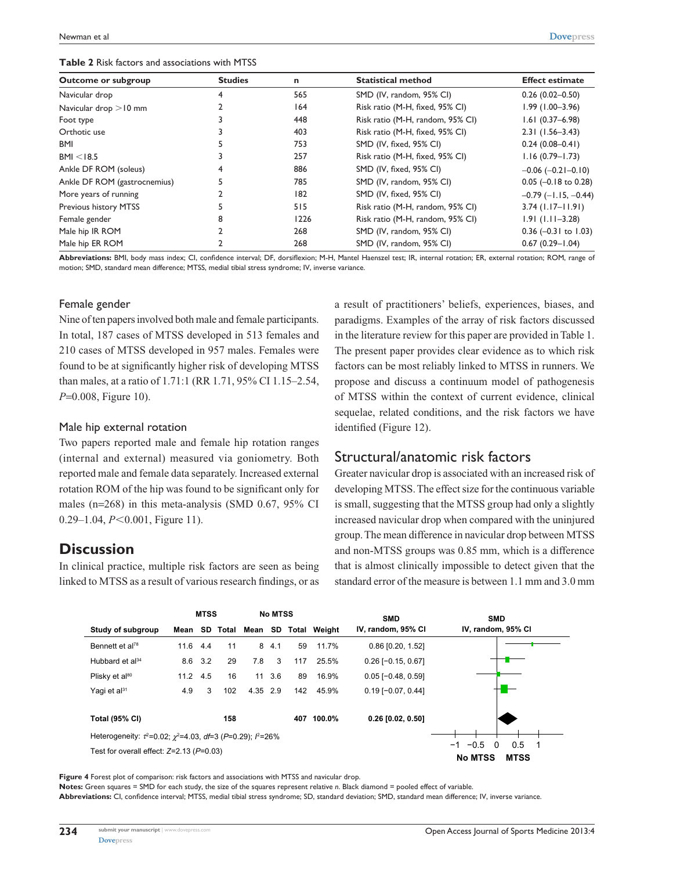#### **Table 2** Risk factors and associations with MTSS

| Outcome or subgroup          | <b>Studies</b> | n    | <b>Statistical method</b>        | <b>Effect estimate</b>        |
|------------------------------|----------------|------|----------------------------------|-------------------------------|
| Navicular drop               | 4              | 565  | SMD (IV, random, 95% CI)         | $0.26(0.02 - 0.50)$           |
| Navicular drop > 10 mm       |                | 164  | Risk ratio (M-H, fixed, 95% CI)  | $1.99(1.00 - 3.96)$           |
| Foot type                    |                | 448  | Risk ratio (M-H, random, 95% CI) | $1.61(0.37 - 6.98)$           |
| Orthotic use                 |                | 403  | Risk ratio (M-H, fixed, 95% CI)  | $2.31(1.56 - 3.43)$           |
| <b>BMI</b>                   |                | 753  | SMD (IV, fixed, 95% CI)          | $0.24(0.08 - 0.41)$           |
| BM < 18.5                    |                | 257  | Risk ratio (M-H, fixed, 95% CI)  | $1.16(0.79 - 1.73)$           |
| Ankle DF ROM (soleus)        |                | 886  | SMD (IV, fixed, 95% CI)          | $-0.06$ $(-0.21 - 0.10)$      |
| Ankle DF ROM (gastrocnemius) |                | 785  | SMD (IV, random, 95% CI)         | $0.05$ (-0.18 to 0.28)        |
| More years of running        |                | 182  | SMD (IV, fixed, 95% CI)          | $-0.79$ ( $-1.15$ , $-0.44$ ) |
| Previous history MTSS        |                | 515  | Risk ratio (M-H, random, 95% CI) | $3.74$ (1.17-11.91)           |
| Female gender                |                | 1226 | Risk ratio (M-H, random, 95% CI) | $1.91(1.11 - 3.28)$           |
| Male hip IR ROM              |                | 268  | SMD (IV, random, 95% CI)         | $0.36$ (-0.31 to 1.03)        |
| Male hip ER ROM              |                | 268  | SMD (IV, random, 95% CI)         | $0.67(0.29 - 1.04)$           |

**Abbreviations:** BMI, body mass index; CI, confidence interval; DF, dorsiflexion; M-H, Mantel Haenszel test; IR, internal rotation; ER, external rotation; ROM, range of motion; SMD, standard mean difference; MTSS, medial tibial stress syndrome; IV, inverse variance.

#### Female gender

Nine of ten papers involved both male and female participants. In total, 187 cases of MTSS developed in 513 females and 210 cases of MTSS developed in 957 males. Females were found to be at significantly higher risk of developing MTSS than males, at a ratio of 1.71:1 (RR 1.71, 95% CI 1.15–2.54, *P*=0.008, Figure 10).

#### Male hip external rotation

Two papers reported male and female hip rotation ranges (internal and external) measured via goniometry. Both reported male and female data separately. Increased external rotation ROM of the hip was found to be significant only for males (n=268) in this meta-analysis (SMD 0.67, 95% CI 0.29–1.04, *P*<0.001, Figure 11).

### **Discussion**

In clinical practice, multiple risk factors are seen as being linked to MTSS as a result of various research findings, or as a result of practitioners' beliefs, experiences, biases, and paradigms. Examples of the array of risk factors discussed in the literature review for this paper are provided in Table 1. The present paper provides clear evidence as to which risk factors can be most reliably linked to MTSS in runners. We propose and discuss a continuum model of pathogenesis of MTSS within the context of current evidence, clinical sequelae, related conditions, and the risk factors we have identified (Figure 12).

### Structural/anatomic risk factors

Greater navicular drop is associated with an increased risk of developing MTSS. The effect size for the continuous variable is small, suggesting that the MTSS group had only a slightly increased navicular drop when compared with the uninjured group. The mean difference in navicular drop between MTSS and non-MTSS groups was 0.85 mm, which is a difference that is almost clinically impossible to detect given that the standard error of the measure is between 1.1 mm and 3.0 mm

|                                                                                     |                                          | <b>MTSS</b> |     |          | <b>No MTSS</b>     |                    |                                                                        | <b>SMD</b>           | <b>SMD</b> |
|-------------------------------------------------------------------------------------|------------------------------------------|-------------|-----|----------|--------------------|--------------------|------------------------------------------------------------------------|----------------------|------------|
| Study of subgroup                                                                   | SD Total<br>Mean SD Total Weight<br>Mean |             |     |          | IV, random, 95% CI | IV, random, 95% CI |                                                                        |                      |            |
| Bennett et al <sup>78</sup>                                                         | $11.6$ 4.4                               |             | 11  |          | 8, 4.1             | 59                 | 11.7%                                                                  | $0.86$ [0.20, 1.52]  |            |
| Hubbard et al <sup>34</sup>                                                         |                                          | 8.6 3.2     | 29  | 7.8      | 3                  | 117                | 25.5%                                                                  | $0.26$ [-0.15, 0.67] |            |
| Plisky et al <sup>80</sup>                                                          | $11.2 \quad 4.5$                         |             | 16  |          | 11 3.6             | 89                 | 16.9%                                                                  | $0.05$ [-0.48, 0.59] |            |
| Yagi et al <sup>31</sup>                                                            | 4.9                                      | 3           | 102 | 4.35 2.9 |                    | 142                | 45.9%                                                                  | $0.19$ [-0.07, 0.44] |            |
| <b>Total (95% CI)</b>                                                               |                                          |             | 158 |          |                    | 407                | 100.0%                                                                 | $0.26$ [0.02, 0.50]  |            |
| Heterogeneity: $\tau^2 = 0.02$ ; $\gamma^2 = 4.03$ , df=3 (P=0.29); $\ell^2 = 26\%$ |                                          |             |     |          |                    |                    |                                                                        |                      |            |
| Test for overall effect: $Z=2.13$ ( $P=0.03$ )                                      |                                          |             |     |          |                    |                    | 0.5<br>$-1$ $-0.5$<br>$\Omega$<br>- 1<br><b>No MTSS</b><br><b>MTSS</b> |                      |            |

**Figure 4** Forest plot of comparison: risk factors and associations with MTSS and navicular drop.

**Notes:** Green squares = SMD for each study, the size of the squares represent relative *n*. Black diamond = pooled effect of variable. **Abbreviations:** CI, confidence interval; MTSS, medial tibial stress syndrome; SD, standard deviation; SMD, standard mean difference; IV, inverse variance.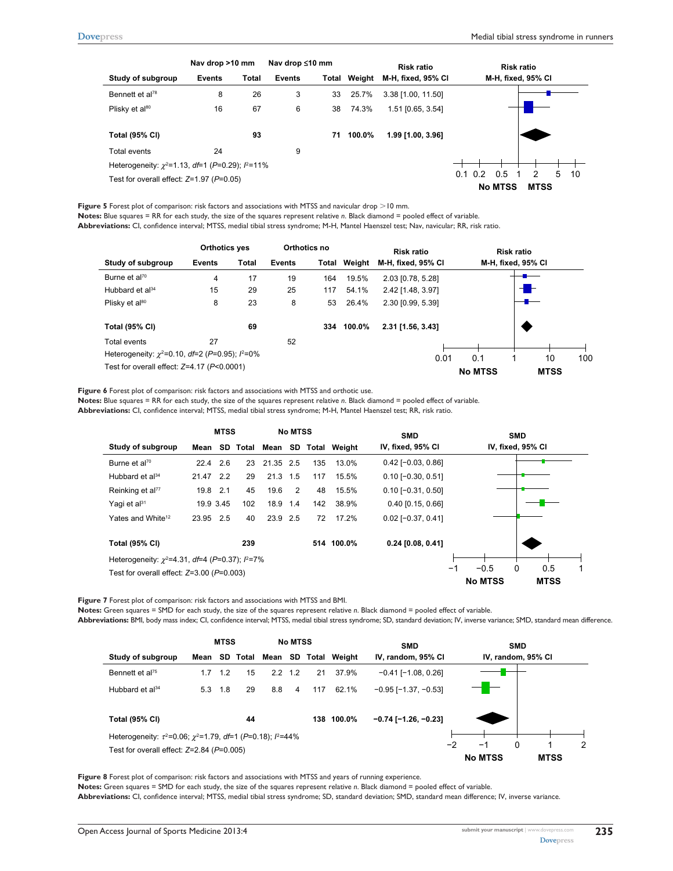|                                                          | Nav drop >10 mm |       | Nav drop ≤10 mm |    |                     | <b>Risk ratio</b>  | <b>Risk ratio</b>                                   |
|----------------------------------------------------------|-----------------|-------|-----------------|----|---------------------|--------------------|-----------------------------------------------------|
| Study of subgroup                                        | Events          | Total | <b>Events</b>   |    | <b>Total Weight</b> | M-H, fixed, 95% Cl | M-H, fixed, 95% CI                                  |
| Bennett et al <sup>78</sup>                              | 8               | 26    | 3               | 33 | 25.7%               | 3.38 [1.00, 11.50] |                                                     |
| Plisky et al <sup>80</sup>                               | 16              | 67    | 6               | 38 | 74.3%               | 1.51 [0.65, 3.54]  |                                                     |
|                                                          |                 |       |                 |    |                     |                    |                                                     |
| <b>Total (95% CI)</b>                                    |                 | 93    |                 | 71 | 100.0%              | 1.99 [1.00, 3.96]  |                                                     |
| Total events                                             | 24              |       | 9               |    |                     |                    |                                                     |
| Heterogeneity: $\chi^2$ =1.13, df=1 (P=0.29); $l^2$ =11% |                 |       |                 |    |                     |                    |                                                     |
| Test for overall effect: $Z=1.97$ ( $P=0.05$ )           |                 |       |                 |    |                     |                    | 0.5<br>$\mathcal{P}$<br>$0.1 \ 0.2$<br>5<br>10<br>1 |
|                                                          |                 |       |                 |    |                     |                    | <b>No MTSS</b><br><b>MTSS</b>                       |

**Figure 5** Forest plot of comparison: risk factors and associations with MTSS and navicular drop >10 mm.

**Notes:** Blue squares = RR for each study, the size of the squares represent relative *n*. Black diamond = pooled effect of variable.

**Abbreviations:** CI, confidence interval; MTSS, medial tibial stress syndrome; M-H, Mantel Haenszel test; Nav, navicular; RR, risk ratio.

|                                                               | <b>Orthotics yes</b>          |    | Orthotics no  |     |              | <b>Risk ratio</b>  |                | <b>Risk ratio</b>        |     |  |  |  |
|---------------------------------------------------------------|-------------------------------|----|---------------|-----|--------------|--------------------|----------------|--------------------------|-----|--|--|--|
| Study of subgroup                                             | <b>Total</b><br><b>Events</b> |    | <b>Events</b> |     | Total Weight | M-H, fixed, 95% CI |                | M-H, fixed, 95% CI       |     |  |  |  |
| Burne et al <sup>70</sup>                                     | 4                             | 17 | 19            | 164 | 19.5%        | 2.03 [0.78, 5.28]  |                |                          |     |  |  |  |
| Hubbard et $al^{34}$                                          | 15                            | 29 | 25            | 117 | 54.1%        | 2.42 [1.48, 3.97]  |                | ╺┝                       |     |  |  |  |
| Plisky et al <sup>80</sup>                                    | 8                             | 23 | 8             | 53  | 26.4%        | 2.30 [0.99, 5.39]  |                | $\overline{\phantom{a}}$ |     |  |  |  |
| <b>Total (95% CI)</b>                                         |                               | 69 |               | 334 | 100.0%       | 2.31 [1.56, 3.43]  |                |                          |     |  |  |  |
| Total events                                                  | 27                            |    | 52            |     |              |                    |                |                          |     |  |  |  |
| Heterogeneity: $\gamma^2 = 0.10$ , df=2 (P=0.95); $l^2 = 0\%$ |                               |    |               |     |              | 0.01               | 0.1            | 10                       | 100 |  |  |  |
| Test for overall effect: $Z=4.17$ ( $P<0.0001$ )              |                               |    |               |     |              |                    | <b>No MTSS</b> | <b>MTSS</b>              |     |  |  |  |

**Figure 6** Forest plot of comparison: risk factors and associations with MTSS and orthotic use.

**Notes:** Blue squares = RR for each study, the size of the squares represent relative *n*. Black diamond = pooled effect of variable. **Abbreviations:** CI, confidence interval; MTSS, medial tibial stress syndrome; M-H, Mantel Haenszel test; RR, risk ratio.

|                                                               | <b>MTSS</b> |    | <b>No MTSS</b> |            |     |     | <b>SMD</b>           | <b>SMD</b>           |                                                             |
|---------------------------------------------------------------|-------------|----|----------------|------------|-----|-----|----------------------|----------------------|-------------------------------------------------------------|
| Study of subgroup                                             | Mean        | SD | Total          |            |     |     | Mean SD Total Weight | IV, fixed, 95% CI    | IV, fixed, 95% CI                                           |
| Burne et al <sup>70</sup>                                     | $22.4$ 2.6  |    | 23             | 21.35 2.5  |     | 135 | 13.0%                | $0.42$ [-0.03, 0.86] |                                                             |
| Hubbard et $al34$                                             | 21.47 2.2   |    | 29             | $21.3$ 1.5 |     | 117 | 15.5%                | $0.10$ [-0.30, 0.51] |                                                             |
| Reinking et al <sup>77</sup>                                  | 19.8 2.1    |    | 45             | 19.6       | 2   | 48  | 15.5%                | $0.10$ [-0.31, 0.50] |                                                             |
| Yagi et al <sup>31</sup>                                      | 19.9 3.45   |    | 102            | 18.9       | 1.4 | 142 | 38.9%                | $0.40$ [0.15, 0.66]  |                                                             |
| Yates and White <sup>12</sup>                                 | 23.95 2.5   |    | 40             | 23.9 2.5   |     | 72  | 17.2%                | $0.02$ [-0.37, 0.41] |                                                             |
| <b>Total (95% CI)</b>                                         |             |    | 239            |            |     |     | 514 100.0%           | $0.24$ [0.08, 0.41]  |                                                             |
| Heterogeneity: $\gamma^2 = 4.31$ , df=4 (P=0.37); $l^2 = 7\%$ |             |    |                |            |     |     |                      |                      |                                                             |
| Test for overall effect: $Z=3.00$ ( $P=0.003$ )               |             |    |                |            |     |     |                      |                      | $-0.5$<br>0<br>0.5<br>$-1$<br><b>No MTSS</b><br><b>MTSS</b> |

**Figure 7** Forest plot of comparison: risk factors and associations with MTSS and BMI. **Notes:** Green squares = SMD for each study, the size of the squares represent relative *n*. Black diamond = pooled effect of variable. **Abbreviations:** BMI, body mass index; CI, confidence interval; MTSS, medial tibial stress syndrome; SD, standard deviation; IV, inverse variance; SMD, standard mean difference.

|                                                                                                                                         | <b>MTSS</b> |           |    | <b>No MTSS</b> |     |     |                               | <b>SMD</b>                    | <b>SMD</b>         |             |  |  |  |
|-----------------------------------------------------------------------------------------------------------------------------------------|-------------|-----------|----|----------------|-----|-----|-------------------------------|-------------------------------|--------------------|-------------|--|--|--|
| Study of subgroup                                                                                                                       | Mean        |           |    |                |     |     | SD Total Mean SD Total Weight | IV, random, 95% CI            | IV, random, 95% CI |             |  |  |  |
| Bennett et al <sup>75</sup>                                                                                                             | 1.7         | 1.2       | 15 | 2.2            | 1.2 | 21  | 37.9%                         | $-0.41$ [ $-1.08$ , 0.26]     |                    |             |  |  |  |
| Hubbard et $al34$                                                                                                                       |             | $5.3$ 1.8 | 29 | 8.8            | 4   | 117 | 62.1%                         | $-0.95$ [ $-1.37, -0.53$ ]    |                    |             |  |  |  |
| <b>Total (95% CI)</b>                                                                                                                   |             |           | 44 |                |     |     | 138 100.0%                    | $-0.74$ [ $-1.26$ , $-0.23$ ] |                    |             |  |  |  |
| Heterogeneity: $\tau^2 = 0.06$ ; $\gamma^2 = 1.79$ , $df = 1$ (P=0.18); $l^2 = 44\%$<br>Test for overall effect: $Z=2.84$ ( $P=0.005$ ) |             |           |    |                |     |     |                               | $-2$<br>0<br>-1               |                    | 2           |  |  |  |
|                                                                                                                                         |             |           |    |                |     |     |                               |                               | <b>No MTSS</b>     | <b>MTSS</b> |  |  |  |

**Figure 8** Forest plot of comparison: risk factors and associations with MTSS and years of running experience.

**Notes:** Green squares = SMD for each study, the size of the squares represent relative *n*. Black diamond = pooled effect of variable.

**Abbreviations:** CI, confidence interval; MTSS, medial tibial stress syndrome; SD, standard deviation; SMD, standard mean difference; IV, inverse variance.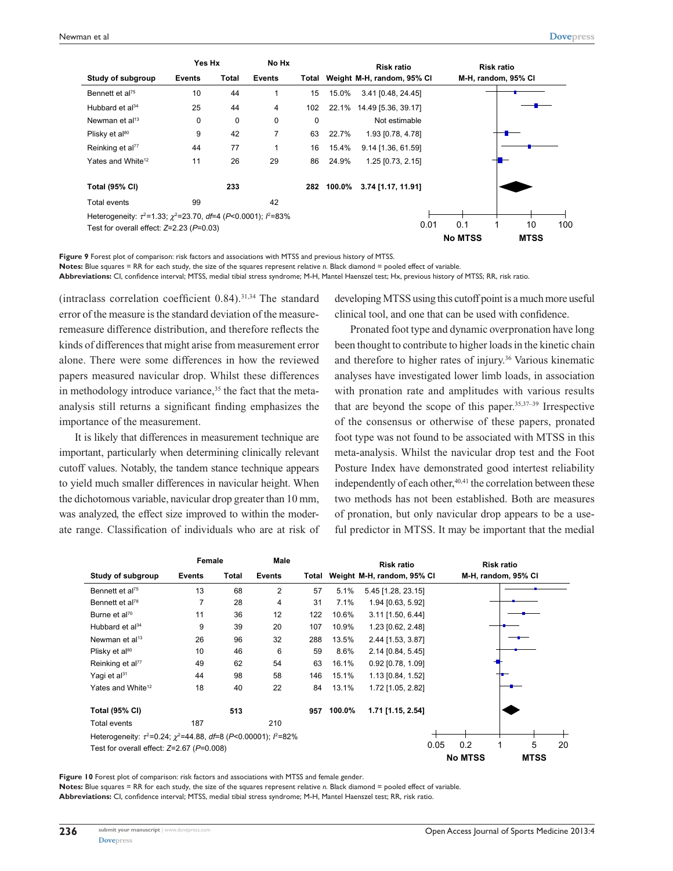|                                                                                   | Yes Hx                        |     | No Hx                  |     |        | <b>Risk ratio</b>          |                | <b>Risk ratio</b>   |     |  |  |  |
|-----------------------------------------------------------------------------------|-------------------------------|-----|------------------------|-----|--------|----------------------------|----------------|---------------------|-----|--|--|--|
| Study of subgroup                                                                 | <b>Events</b><br><b>Total</b> |     | <b>Events</b><br>Total |     |        | Weight M-H, random, 95% Cl |                | M-H, random, 95% CI |     |  |  |  |
| Bennett et al <sup>75</sup>                                                       | 10                            | 44  | 1                      | 15  | 15.0%  | 3.41 [0.48, 24.45]         |                |                     |     |  |  |  |
| Hubbard et $al34$                                                                 | 25                            | 44  | 4                      | 102 |        | 22.1% 14.49 [5.36, 39.17]  |                |                     |     |  |  |  |
| Newman et al <sup>13</sup>                                                        | $\mathbf 0$                   | 0   | $\mathbf 0$            | 0   |        | Not estimable              |                |                     |     |  |  |  |
| Plisky et al <sup>80</sup>                                                        | 9                             | 42  | $\overline{7}$         | 63  | 22.7%  | 1.93 [0.78, 4.78]          |                |                     |     |  |  |  |
| Reinking et al <sup>77</sup>                                                      | 44                            | 77  | 1                      | 16  | 15.4%  | 9.14 [1.36, 61.59]         |                |                     |     |  |  |  |
| Yates and White <sup>12</sup>                                                     | 11                            | 26  | 29                     | 86  | 24.9%  | 1.25 [0.73, 2.15]          |                |                     |     |  |  |  |
| <b>Total (95% CI)</b>                                                             |                               | 233 |                        | 282 | 100.0% | 3.74 [1.17, 11.91]         |                |                     |     |  |  |  |
| <b>Total events</b>                                                               | 99                            |     | 42                     |     |        |                            |                |                     |     |  |  |  |
| Heterogeneity: $\tau^2 = 1.33$ ; $\chi^2 = 23.70$ , df=4 (P<0.0001); $l^2 = 83\%$ |                               |     |                        |     |        |                            |                |                     |     |  |  |  |
| Test for overall effect: $Z=2.23$ ( $P=0.03$ )                                    |                               |     |                        |     |        | 0.01                       | 0.1            | 10                  | 100 |  |  |  |
|                                                                                   |                               |     |                        |     |        |                            | <b>No MTSS</b> | <b>MTSS</b>         |     |  |  |  |

**Figure 9** Forest plot of comparison: risk factors and associations with MTSS and previous history of MTSS.

**Notes:** Blue squares = RR for each study, the size of the squares represent relative *n*. Black diamond = pooled effect of variable.

**Abbreviations:** CI, confidence interval; MTSS, medial tibial stress syndrome; M-H, Mantel Haenszel test; Hx, previous history of MTSS; RR, risk ratio.

(intraclass correlation coefficient 0.84).31,34 The standard error of the measure is the standard deviation of the measureremeasure difference distribution, and therefore reflects the kinds of differences that might arise from measurement error alone. There were some differences in how the reviewed papers measured navicular drop. Whilst these differences in methodology introduce variance, $35$  the fact that the metaanalysis still returns a significant finding emphasizes the importance of the measurement.

It is likely that differences in measurement technique are important, particularly when determining clinically relevant cutoff values. Notably, the tandem stance technique appears to yield much smaller differences in navicular height. When the dichotomous variable, navicular drop greater than 10 mm, was analyzed, the effect size improved to within the moderate range. Classification of individuals who are at risk of developing MTSS using this cutoff point is a much more useful clinical tool, and one that can be used with confidence.

Pronated foot type and dynamic overpronation have long been thought to contribute to higher loads in the kinetic chain and therefore to higher rates of injury.36 Various kinematic analyses have investigated lower limb loads, in association with pronation rate and amplitudes with various results that are beyond the scope of this paper.35,37–39 Irrespective of the consensus or otherwise of these papers, pronated foot type was not found to be associated with MTSS in this meta-analysis. Whilst the navicular drop test and the Foot Posture Index have demonstrated good intertest reliability independently of each other, $40,41$  the correlation between these two methods has not been established. Both are measures of pronation, but only navicular drop appears to be a useful predictor in MTSS. It may be important that the medial

|                                                                                    | Female         |       | <b>Male</b> |       |        | <b>Risk ratio</b>          |                | <b>Risk ratio</b>   |
|------------------------------------------------------------------------------------|----------------|-------|-------------|-------|--------|----------------------------|----------------|---------------------|
| Study of subgroup                                                                  | <b>Events</b>  | Total |             | Total |        | Weight M-H, random, 95% CI |                | M-H, random, 95% CI |
| Bennett et al <sup>75</sup>                                                        | 13             | 68    | 2           | 57    | 5.1%   | 5.45 [1.28, 23.15]         |                |                     |
| Bennett et al <sup>78</sup>                                                        | $\overline{7}$ | 28    | 4           | 31    | 7.1%   | 1.94 [0.63, 5.92]          |                |                     |
| Burne et al <sup>70</sup>                                                          | 11             | 36    | 12          | 122   | 10.6%  | 3.11 [1.50, 6.44]          |                |                     |
| Hubbard et al $34$                                                                 | 9              | 39    | 20          | 107   | 10.9%  | 1.23 [0.62, 2.48]          |                |                     |
| Newman et al <sup>13</sup>                                                         | 26             | 96    | 32          | 288   | 13.5%  | 2.44 [1.53, 3.87]          |                |                     |
| Plisky et al <sup>80</sup>                                                         | 10             | 46    | 6           | 59    | 8.6%   | 2.14 [0.84, 5.45]          |                |                     |
| Reinking et al <sup>77</sup>                                                       | 49             | 62    | 54          | 63    | 16.1%  | $0.92$ [0.78, 1.09]        |                |                     |
| Yagi et al <sup>31</sup>                                                           | 44             | 98    | 58          | 146   | 15.1%  | 1.13 [0.84, 1.52]          |                |                     |
| Yates and White <sup>12</sup>                                                      | 18             | 40    | 22          | 84    | 13.1%  | 1.72 [1.05, 2.82]          |                |                     |
| <b>Total (95% CI)</b>                                                              |                | 513   |             | 957   | 100.0% | 1.71 [1.15, 2.54]          |                |                     |
| Total events                                                                       | 187            |       | 210         |       |        |                            |                |                     |
| Heterogeneity: $\tau^2 = 0.24$ ; $\chi^2 = 44.88$ , df=8 (P<0.00001); $l^2 = 82\%$ |                |       |             |       |        |                            |                |                     |
| Test for overall effect: $Z=2.67$ ( $P=0.008$ )                                    |                |       |             |       |        |                            | 0.2<br>0.05    | 5<br>20             |
|                                                                                    |                |       |             |       |        |                            | <b>No MTSS</b> | <b>MTSS</b>         |

**Figure 10** Forest plot of comparison: risk factors and associations with MTSS and female gender.

**Notes:** Blue squares = RR for each study, the size of the squares represent relative *n*. Black diamond = pooled effect of variable. **Abbreviations:** CI, confidence interval; MTSS, medial tibial stress syndrome; M-H, Mantel Haenszel test; RR, risk ratio.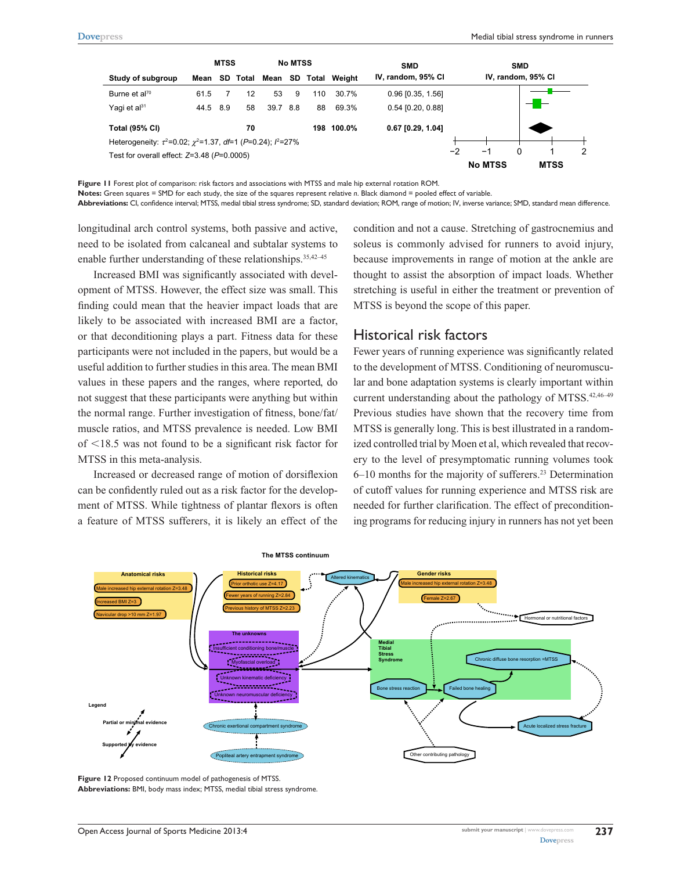|                                                                                      | <b>MTSS</b> |     | <b>No MTSS</b> |          |     |       | <b>SMD</b> |                     | <b>SMD</b> |                    |   |             |   |
|--------------------------------------------------------------------------------------|-------------|-----|----------------|----------|-----|-------|------------|---------------------|------------|--------------------|---|-------------|---|
| Study of subgroup                                                                    | Mean        | SD. | Total          | Mean     | SD. | Total | Weiaht     | IV, random, 95% CI  |            | IV, random, 95% CI |   |             |   |
| Burne et $al^{70}$                                                                   | 61.5        |     | 12             | 53       | 9   | 110   | 30.7%      | $0.96$ [0.35, 1.56] |            |                    |   |             |   |
| Yagi et al $31$                                                                      | 44.5 8.9    |     | 58             | 39.7 8.8 |     | 88    | 69.3%      | $0.54$ [0.20, 0.88] |            |                    |   |             |   |
| <b>Total (95% CI)</b>                                                                |             |     | 70             |          |     | 198   | 100.0%     | $0.67$ [0.29, 1.04] |            |                    |   |             |   |
| Heterogeneity: $\tau^2 = 0.02$ ; $\gamma^2 = 1.37$ , $df = 1$ (P=0.24); $l^2 = 27\%$ |             |     |                |          |     |       |            |                     |            |                    |   |             |   |
| Test for overall effect: $Z=3.48$ ( $P=0.0005$ )                                     |             |     |                |          |     |       |            |                     | -2         | $-1$               | 0 |             | 2 |
|                                                                                      |             |     |                |          |     |       |            |                     |            | <b>No MTSS</b>     |   | <b>MTSS</b> |   |

**Figure 11** Forest plot of comparison: risk factors and associations with MTSS and male hip external rotation ROM. **Notes:** Green squares = SMD for each study, the size of the squares represent relative *n*. Black diamond = pooled effect of variable. **Abbreviations:** CI, confidence interval; MTSS, medial tibial stress syndrome; SD, standard deviation; ROM, range of motion; IV, inverse variance; SMD, standard mean difference.

longitudinal arch control systems, both passive and active, need to be isolated from calcaneal and subtalar systems to enable further understanding of these relationships.<sup>35,42-45</sup>

Increased BMI was significantly associated with development of MTSS. However, the effect size was small. This finding could mean that the heavier impact loads that are likely to be associated with increased BMI are a factor, or that deconditioning plays a part. Fitness data for these participants were not included in the papers, but would be a useful addition to further studies in this area. The mean BMI values in these papers and the ranges, where reported, do not suggest that these participants were anything but within the normal range. Further investigation of fitness, bone/fat/ muscle ratios, and MTSS prevalence is needed. Low BMI of  $\leq$ 18.5 was not found to be a significant risk factor for MTSS in this meta-analysis.

Increased or decreased range of motion of dorsiflexion can be confidently ruled out as a risk factor for the development of MTSS. While tightness of plantar flexors is often a feature of MTSS sufferers, it is likely an effect of the condition and not a cause. Stretching of gastrocnemius and soleus is commonly advised for runners to avoid injury, because improvements in range of motion at the ankle are thought to assist the absorption of impact loads. Whether stretching is useful in either the treatment or prevention of MTSS is beyond the scope of this paper.

### Historical risk factors

Fewer years of running experience was significantly related to the development of MTSS. Conditioning of neuromuscular and bone adaptation systems is clearly important within current understanding about the pathology of MTSS.<sup>42,46-49</sup> Previous studies have shown that the recovery time from MTSS is generally long. This is best illustrated in a randomized controlled trial by Moen et al, which revealed that recovery to the level of presymptomatic running volumes took  $6-10$  months for the majority of sufferers.<sup>23</sup> Determination of cutoff values for running experience and MTSS risk are needed for further clarification. The effect of preconditioning programs for reducing injury in runners has not yet been



**Figure 12** Proposed continuum model of pathogenesis of MTSS. **Abbreviations:** BMI, body mass index; MTSS, medial tibial stress syndrome.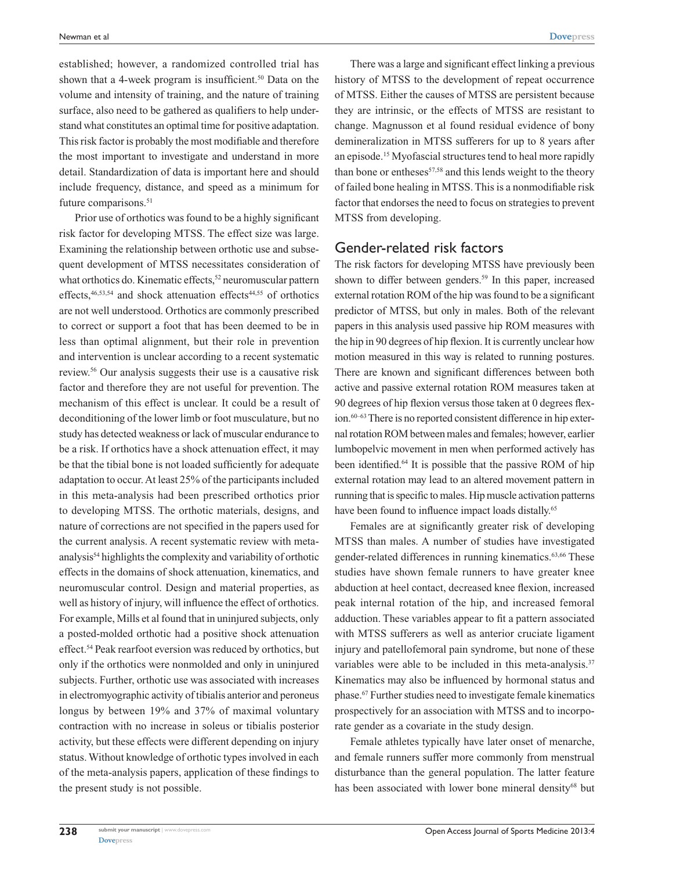established; however, a randomized controlled trial has shown that a 4-week program is insufficient.<sup>50</sup> Data on the volume and intensity of training, and the nature of training surface, also need to be gathered as qualifiers to help understand what constitutes an optimal time for positive adaptation. This risk factor is probably the most modifiable and therefore the most important to investigate and understand in more detail. Standardization of data is important here and should include frequency, distance, and speed as a minimum for future comparisons.<sup>51</sup>

Prior use of orthotics was found to be a highly significant risk factor for developing MTSS. The effect size was large. Examining the relationship between orthotic use and subsequent development of MTSS necessitates consideration of what orthotics do. Kinematic effects,<sup>52</sup> neuromuscular pattern effects, $46,53,54$  and shock attenuation effects $44,55$  of orthotics are not well understood. Orthotics are commonly prescribed to correct or support a foot that has been deemed to be in less than optimal alignment, but their role in prevention and intervention is unclear according to a recent systematic review.56 Our analysis suggests their use is a causative risk factor and therefore they are not useful for prevention. The mechanism of this effect is unclear. It could be a result of deconditioning of the lower limb or foot musculature, but no study has detected weakness or lack of muscular endurance to be a risk. If orthotics have a shock attenuation effect, it may be that the tibial bone is not loaded sufficiently for adequate adaptation to occur. At least 25% of the participants included in this meta-analysis had been prescribed orthotics prior to developing MTSS. The orthotic materials, designs, and nature of corrections are not specified in the papers used for the current analysis. A recent systematic review with metaanalysis<sup>54</sup> highlights the complexity and variability of orthotic effects in the domains of shock attenuation, kinematics, and neuromuscular control. Design and material properties, as well as history of injury, will influence the effect of orthotics. For example, Mills et al found that in uninjured subjects, only a posted-molded orthotic had a positive shock attenuation effect.<sup>54</sup> Peak rearfoot eversion was reduced by orthotics, but only if the orthotics were nonmolded and only in uninjured subjects. Further, orthotic use was associated with increases in electromyographic activity of tibialis anterior and peroneus longus by between 19% and 37% of maximal voluntary contraction with no increase in soleus or tibialis posterior activity, but these effects were different depending on injury status. Without knowledge of orthotic types involved in each of the meta-analysis papers, application of these findings to the present study is not possible.

There was a large and significant effect linking a previous history of MTSS to the development of repeat occurrence of MTSS. Either the causes of MTSS are persistent because they are intrinsic, or the effects of MTSS are resistant to change. Magnusson et al found residual evidence of bony demineralization in MTSS sufferers for up to 8 years after an episode.15 Myofascial structures tend to heal more rapidly than bone or entheses $57,58$  and this lends weight to the theory of failed bone healing in MTSS. This is a nonmodifiable risk factor that endorses the need to focus on strategies to prevent MTSS from developing.

### Gender-related risk factors

The risk factors for developing MTSS have previously been shown to differ between genders.<sup>59</sup> In this paper, increased external rotation ROM of the hip was found to be a significant predictor of MTSS, but only in males. Both of the relevant papers in this analysis used passive hip ROM measures with the hip in 90 degrees of hip flexion. It is currently unclear how motion measured in this way is related to running postures. There are known and significant differences between both active and passive external rotation ROM measures taken at 90 degrees of hip flexion versus those taken at 0 degrees flexion.60–63 There is no reported consistent difference in hip external rotation ROM between males and females; however, earlier lumbopelvic movement in men when performed actively has been identified.64 It is possible that the passive ROM of hip external rotation may lead to an altered movement pattern in running that is specific to males. Hip muscle activation patterns have been found to influence impact loads distally.<sup>65</sup>

Females are at significantly greater risk of developing MTSS than males. A number of studies have investigated gender-related differences in running kinematics.<sup>63,66</sup> These studies have shown female runners to have greater knee abduction at heel contact, decreased knee flexion, increased peak internal rotation of the hip, and increased femoral adduction. These variables appear to fit a pattern associated with MTSS sufferers as well as anterior cruciate ligament injury and patellofemoral pain syndrome, but none of these variables were able to be included in this meta-analysis.<sup>37</sup> Kinematics may also be influenced by hormonal status and phase.67 Further studies need to investigate female kinematics prospectively for an association with MTSS and to incorporate gender as a covariate in the study design.

Female athletes typically have later onset of menarche, and female runners suffer more commonly from menstrual disturbance than the general population. The latter feature has been associated with lower bone mineral density<sup>68</sup> but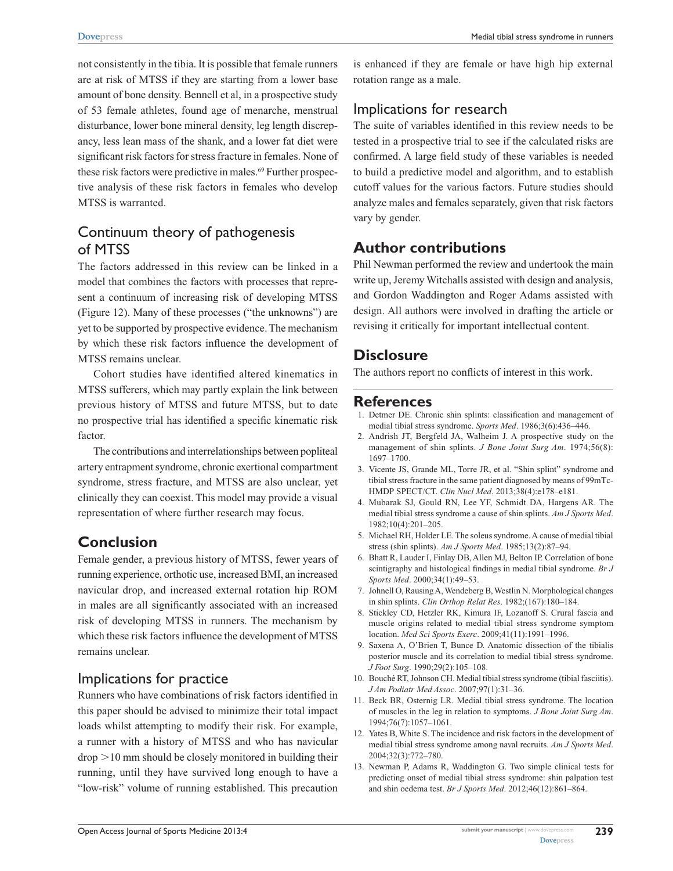not consistently in the tibia. It is possible that female runners are at risk of MTSS if they are starting from a lower base amount of bone density. Bennell et al, in a prospective study of 53 female athletes, found age of menarche, menstrual disturbance, lower bone mineral density, leg length discrepancy, less lean mass of the shank, and a lower fat diet were significant risk factors for stress fracture in females. None of these risk factors were predictive in males.<sup>69</sup> Further prospective analysis of these risk factors in females who develop MTSS is warranted.

# Continuum theory of pathogenesis of MTSS

The factors addressed in this review can be linked in a model that combines the factors with processes that represent a continuum of increasing risk of developing MTSS (Figure 12). Many of these processes ("the unknowns") are yet to be supported by prospective evidence. The mechanism by which these risk factors influence the development of MTSS remains unclear.

Cohort studies have identified altered kinematics in MTSS sufferers, which may partly explain the link between previous history of MTSS and future MTSS, but to date no prospective trial has identified a specific kinematic risk factor.

The contributions and interrelationships between popliteal artery entrapment syndrome, chronic exertional compartment syndrome, stress fracture, and MTSS are also unclear, yet clinically they can coexist. This model may provide a visual representation of where further research may focus.

# **Conclusion**

Female gender, a previous history of MTSS, fewer years of running experience, orthotic use, increased BMI, an increased navicular drop, and increased external rotation hip ROM in males are all significantly associated with an increased risk of developing MTSS in runners. The mechanism by which these risk factors influence the development of MTSS remains unclear.

# Implications for practice

Runners who have combinations of risk factors identified in this paper should be advised to minimize their total impact loads whilst attempting to modify their risk. For example, a runner with a history of MTSS and who has navicular  $drop >10$  mm should be closely monitored in building their running, until they have survived long enough to have a "low-risk" volume of running established. This precaution

is enhanced if they are female or have high hip external rotation range as a male.

# Implications for research

The suite of variables identified in this review needs to be tested in a prospective trial to see if the calculated risks are confirmed. A large field study of these variables is needed to build a predictive model and algorithm, and to establish cutoff values for the various factors. Future studies should analyze males and females separately, given that risk factors vary by gender.

# **Author contributions**

Phil Newman performed the review and undertook the main write up, Jeremy Witchalls assisted with design and analysis, and Gordon Waddington and Roger Adams assisted with design. All authors were involved in drafting the article or revising it critically for important intellectual content.

# **Disclosure**

The authors report no conflicts of interest in this work.

### **References**

- 1. Detmer DE. Chronic shin splints: classification and management of medial tibial stress syndrome. *Sports Med*. 1986;3(6):436–446.
- 2. Andrish JT, Bergfeld JA, Walheim J. A prospective study on the management of shin splints. *J Bone Joint Surg Am*. 1974;56(8): 1697–1700.
- 3. Vicente JS, Grande ML, Torre JR, et al. "Shin splint" syndrome and tibial stress fracture in the same patient diagnosed by means of 99mTc-HMDP SPECT/CT. *Clin Nucl Med*. 2013;38(4):e178–e181.
- 4. Mubarak SJ, Gould RN, Lee YF, Schmidt DA, Hargens AR. The medial tibial stress syndrome a cause of shin splints. *Am J Sports Med*. 1982;10(4):201–205.
- 5. Michael RH, Holder LE. The soleus syndrome. A cause of medial tibial stress (shin splints). *Am J Sports Med*. 1985;13(2):87–94.
- 6. Bhatt R, Lauder I, Finlay DB, Allen MJ, Belton IP. Correlation of bone scintigraphy and histological findings in medial tibial syndrome. *Br J Sports Med*. 2000;34(1):49–53.
- 7. Johnell O, Rausing A, Wendeberg B, Westlin N. Morphological changes in shin splints. *Clin Orthop Relat Res*. 1982;(167):180–184.
- 8. Stickley CD, Hetzler RK, Kimura IF, Lozanoff S. Crural fascia and muscle origins related to medial tibial stress syndrome symptom location. *Med Sci Sports Exerc*. 2009;41(11):1991–1996.
- 9. Saxena A, O'Brien T, Bunce D. Anatomic dissection of the tibialis posterior muscle and its correlation to medial tibial stress syndrome. *J Foot Surg*. 1990;29(2):105–108.
- 10. Bouché RT, Johnson CH. Medial tibial stress syndrome (tibial fasciitis). *J Am Podiatr Med Assoc*. 2007;97(1):31–36.
- 11. Beck BR, Osternig LR. Medial tibial stress syndrome. The location of muscles in the leg in relation to symptoms. *J Bone Joint Surg Am*. 1994;76(7):1057–1061.
- 12. Yates B, White S. The incidence and risk factors in the development of medial tibial stress syndrome among naval recruits. *Am J Sports Med*. 2004;32(3):772–780.
- 13. Newman P, Adams R, Waddington G. Two simple clinical tests for predicting onset of medial tibial stress syndrome: shin palpation test and shin oedema test. *Br J Sports Med*. 2012;46(12):861–864.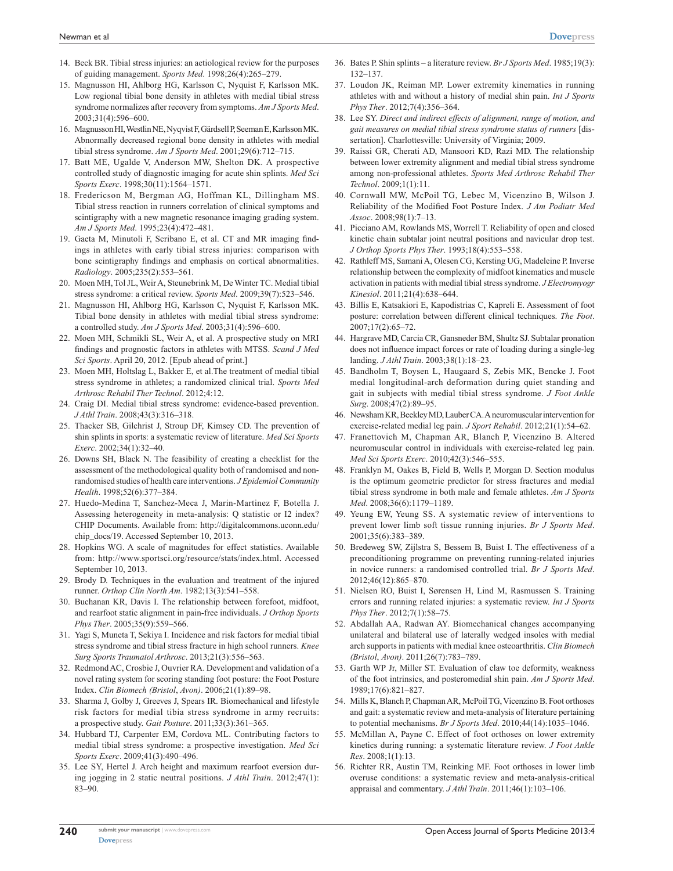- 14. Beck BR. Tibial stress injuries: an aetiological review for the purposes of guiding management. *Sports Med*. 1998;26(4):265–279.
- 15. Magnusson HI, Ahlborg HG, Karlsson C, Nyquist F, Karlsson MK. Low regional tibial bone density in athletes with medial tibial stress syndrome normalizes after recovery from symptoms. *Am J Sports Med*. 2003;31(4):596–600.
- 16. Magnusson HI, Westlin NE, Nyqvist F, Gärdsell P, Seeman E, Karlsson MK. Abnormally decreased regional bone density in athletes with medial tibial stress syndrome. *Am J Sports Med*. 2001;29(6):712–715.
- 17. Batt ME, Ugalde V, Anderson MW, Shelton DK. A prospective controlled study of diagnostic imaging for acute shin splints. *Med Sci Sports Exerc*. 1998;30(11):1564–1571.
- 18. Fredericson M, Bergman AG, Hoffman KL, Dillingham MS. Tibial stress reaction in runners correlation of clinical symptoms and scintigraphy with a new magnetic resonance imaging grading system. *Am J Sports Med*. 1995;23(4):472–481.
- 19. Gaeta M, Minutoli F, Scribano E, et al. CT and MR imaging findings in athletes with early tibial stress injuries: comparison with bone scintigraphy findings and emphasis on cortical abnormalities. *Radiology*. 2005;235(2):553–561.
- 20. Moen MH,Tol JL, Weir A, Steunebrink M, De Winter TC. Medial tibial stress syndrome: a critical review. *Sports Med*. 2009;39(7):523–546.
- 21. Magnusson HI, Ahlborg HG, Karlsson C, Nyquist F, Karlsson MK. Tibial bone density in athletes with medial tibial stress syndrome: a controlled study. *Am J Sports Med*. 2003;31(4):596–600.
- 22. Moen MH, Schmikli SL, Weir A, et al. A prospective study on MRI findings and prognostic factors in athletes with MTSS. *Scand J Med Sci Sports*. April 20, 2012. [Epub ahead of print.]
- 23. Moen MH, Holtslag L, Bakker E, et al.The treatment of medial tibial stress syndrome in athletes; a randomized clinical trial. *Sports Med Arthrosc Rehabil Ther Technol*. 2012;4:12.
- 24. Craig DI. Medial tibial stress syndrome: evidence-based prevention. *J Athl Train*. 2008;43(3):316–318.
- 25. Thacker SB, Gilchrist J, Stroup DF, Kimsey CD. The prevention of shin splints in sports: a systematic review of literature. *Med Sci Sports Exerc*. 2002;34(1):32–40.
- 26. Downs SH, Black N. The feasibility of creating a checklist for the assessment of the methodological quality both of randomised and nonrandomised studies of health care interventions. *J Epidemiol Community Health*. 1998;52(6):377–384.
- 27. Huedo-Medina T, Sanchez-Meca J, Marin-Martinez F, Botella J. Assessing heterogeneity in meta-analysis: Q statistic or I2 index? CHIP Documents. Available from: [http://digitalcommons.uconn.edu/](http://digitalcommons.uconn.edu/chip_docs/19) [chip\\_docs/19.](http://digitalcommons.uconn.edu/chip_docs/19) Accessed September 10, 2013.
- 28. Hopkins WG. A scale of magnitudes for effect statistics. Available from: http://[www.sportsci.org/resource/stats/index.html.](http://www.sportsci.org/resource/stats/index.html) Accessed September 10, 2013.
- 29. Brody D. Techniques in the evaluation and treatment of the injured runner. *Orthop Clin North Am*. 1982;13(3):541–558.
- 30. Buchanan KR, Davis I. The relationship between forefoot, midfoot, and rearfoot static alignment in pain-free individuals. *J Orthop Sports Phys Ther*. 2005;35(9):559–566.
- 31. Yagi S, Muneta T, Sekiya I. Incidence and risk factors for medial tibial stress syndrome and tibial stress fracture in high school runners. *Knee Surg Sports Traumatol Arthrosc*. 2013;21(3):556–563.
- 32. Redmond AC, Crosbie J, Ouvrier RA. Development and validation of a novel rating system for scoring standing foot posture: the Foot Posture Index. *Clin Biomech (Bristol*, *Avon)*. 2006;21(1):89–98.
- 33. Sharma J, Golby J, Greeves J, Spears IR. Biomechanical and lifestyle risk factors for medial tibia stress syndrome in army recruits: a prospective study. *Gait Posture*. 2011;33(3):361–365.
- 34. Hubbard TJ, Carpenter EM, Cordova ML. Contributing factors to medial tibial stress syndrome: a prospective investigation. *Med Sci Sports Exerc*. 2009;41(3):490–496.
- 35. Lee SY, Hertel J. Arch height and maximum rearfoot eversion during jogging in 2 static neutral positions. *J Athl Train*. 2012;47(1): 83–90.
- 36. Bates P. Shin splints a literature review. *Br J Sports Med*. 1985;19(3): 132–137.
- 37. Loudon JK, Reiman MP. Lower extremity kinematics in running athletes with and without a history of medial shin pain. *Int J Sports Phys Ther*. 2012;7(4):356–364.
- 38. Lee SY. *Direct and indirect effects of alignment, range of motion, and gait measures on medial tibial stress syndrome status of runners* [dissertation]. Charlottesville: University of Virginia; 2009.
- 39. Raissi GR, Cherati AD, Mansoori KD, Razi MD. The relationship between lower extremity alignment and medial tibial stress syndrome among non-professional athletes. *Sports Med Arthrosc Rehabil Ther Technol*. 2009;1(1):11.
- 40. Cornwall MW, McPoil TG, Lebec M, Vicenzino B, Wilson J. Reliability of the Modified Foot Posture Index. *J Am Podiatr Med Assoc*. 2008;98(1):7–13.
- 41. Picciano AM, Rowlands MS, Worrell T. Reliability of open and closed kinetic chain subtalar joint neutral positions and navicular drop test. *J Orthop Sports Phys Ther*. 1993;18(4):553–558.
- 42. Rathleff MS, Samani A, Olesen CG, Kersting UG, Madeleine P. Inverse relationship between the complexity of midfoot kinematics and muscle activation in patients with medial tibial stress syndrome. *J Electromyogr Kinesiol*. 2011;21(4):638–644.
- 43. Billis E, Katsakiori E, Kapodistrias C, Kapreli E. Assessment of foot posture: correlation between different clinical techniques. *The Foot*. 2007;17(2):65–72.
- 44. Hargrave MD, Carcia CR, Gansneder BM, Shultz SJ. Subtalar pronation does not influence impact forces or rate of loading during a single-leg landing. *J Athl Train*. 2003;38(1):18–23.
- 45. Bandholm T, Boysen L, Haugaard S, Zebis MK, Bencke J. Foot medial longitudinal-arch deformation during quiet standing and gait in subjects with medial tibial stress syndrome. *J Foot Ankle Surg*. 2008;47(2):89–95.
- 46. Newsham KR, Beekley MD, Lauber CA. A neuromuscular intervention for exercise-related medial leg pain. *J Sport Rehabil*. 2012;21(1):54–62.
- 47. Franettovich M, Chapman AR, Blanch P, Vicenzino B. Altered neuromuscular control in individuals with exercise-related leg pain. *Med Sci Sports Exerc*. 2010;42(3):546–555.
- 48. Franklyn M, Oakes B, Field B, Wells P, Morgan D. Section modulus is the optimum geometric predictor for stress fractures and medial tibial stress syndrome in both male and female athletes. *Am J Sports Med*. 2008;36(6):1179–1189.
- 49. Yeung EW, Yeung SS. A systematic review of interventions to prevent lower limb soft tissue running injuries. *Br J Sports Med*. 2001;35(6):383–389.
- 50. Bredeweg SW, Zijlstra S, Bessem B, Buist I. The effectiveness of a preconditioning programme on preventing running-related injuries in novice runners: a randomised controlled trial. *Br J Sports Med*. 2012;46(12):865–870.
- 51. Nielsen RO, Buist I, Sørensen H, Lind M, Rasmussen S. Training errors and running related injuries: a systematic review. *Int J Sports Phys Ther*. 2012;7(1):58–75.
- 52. Abdallah AA, Radwan AY. Biomechanical changes accompanying unilateral and bilateral use of laterally wedged insoles with medial arch supports in patients with medial knee osteoarthritis. *Clin Biomech (Bristol*, *Avon)*. 2011;26(7):783–789.
- 53. Garth WP Jr, Miller ST. Evaluation of claw toe deformity, weakness of the foot intrinsics, and posteromedial shin pain. *Am J Sports Med*. 1989;17(6):821–827.
- 54. Mills K, Blanch P, Chapman AR, McPoil TG, Vicenzino B. Foot orthoses and gait: a systematic review and meta-analysis of literature pertaining to potential mechanisms. *Br J Sports Med*. 2010;44(14):1035–1046.
- 55. McMillan A, Payne C. Effect of foot orthoses on lower extremity kinetics during running: a systematic literature review. *J Foot Ankle Res*. 2008;1(1):13.
- 56. Richter RR, Austin TM, Reinking MF. Foot orthoses in lower limb overuse conditions: a systematic review and meta-analysis-critical appraisal and commentary. *J Athl Train*. 2011;46(1):103–106.